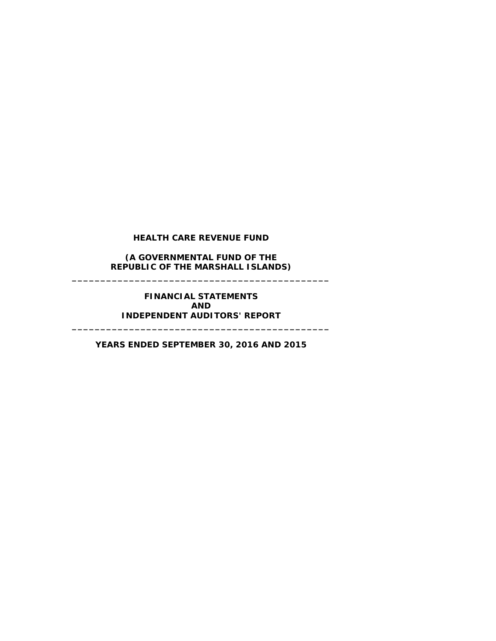**(A GOVERNMENTAL FUND OF THE REPUBLIC OF THE MARSHALL ISLANDS) \_\_\_\_\_\_\_\_\_\_\_\_\_\_\_\_\_\_\_\_\_\_\_\_\_\_\_\_\_\_\_\_\_\_\_\_\_\_\_\_\_\_\_\_\_**

> **FINANCIAL STATEMENTS AND INDEPENDENT AUDITORS' REPORT**

**\_\_\_\_\_\_\_\_\_\_\_\_\_\_\_\_\_\_\_\_\_\_\_\_\_\_\_\_\_\_\_\_\_\_\_\_\_\_\_\_\_\_\_\_\_**

**YEARS ENDED SEPTEMBER 30, 2016 AND 2015**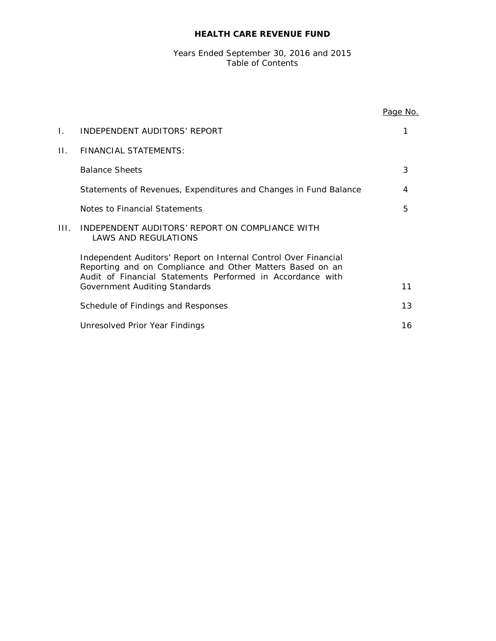#### Years Ended September 30, 2016 and 2015 Table of Contents

|      |                                                                                                                                                                                            | Page No. |
|------|--------------------------------------------------------------------------------------------------------------------------------------------------------------------------------------------|----------|
| L.   | INDEPENDENT AUDITORS' REPORT                                                                                                                                                               | 1        |
| Н.   | <b>FINANCIAL STATEMENTS:</b>                                                                                                                                                               |          |
|      | <b>Balance Sheets</b>                                                                                                                                                                      | 3        |
|      | Statements of Revenues, Expenditures and Changes in Fund Balance                                                                                                                           | 4        |
|      | Notes to Financial Statements                                                                                                                                                              | 5        |
| III. | INDEPENDENT AUDITORS' REPORT ON COMPLIANCE WITH<br>LAWS AND REGULATIONS                                                                                                                    |          |
|      | Independent Auditors' Report on Internal Control Over Financial<br>Reporting and on Compliance and Other Matters Based on an<br>Audit of Financial Statements Performed in Accordance with |          |
|      | Government Auditing Standards                                                                                                                                                              | 11       |
|      | Schedule of Findings and Responses                                                                                                                                                         | 13       |
|      | Unresolved Prior Year Findings                                                                                                                                                             | 16       |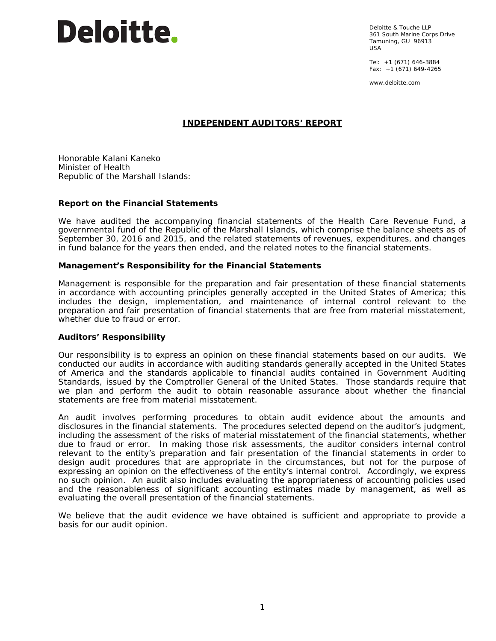# **Deloitte.**

Deloitte & Touche LLP 361 South Marine Corps Drive Tamuning, GU 96913 USA

Tel: +1 (671) 646-3884 Fax: +1 (671) 649-4265

www.deloitte.com

# **INDEPENDENT AUDITORS' REPORT**

Honorable Kalani Kaneko Minister of Health Republic of the Marshall Islands:

#### **Report on the Financial Statements**

We have audited the accompanying financial statements of the Health Care Revenue Fund, a governmental fund of the Republic of the Marshall Islands, which comprise the balance sheets as of September 30, 2016 and 2015, and the related statements of revenues, expenditures, and changes in fund balance for the years then ended, and the related notes to the financial statements.

#### *Management's Responsibility for the Financial Statements*

Management is responsible for the preparation and fair presentation of these financial statements in accordance with accounting principles generally accepted in the United States of America; this includes the design, implementation, and maintenance of internal control relevant to the preparation and fair presentation of financial statements that are free from material misstatement, whether due to fraud or error.

#### *Auditors' Responsibility*

Our responsibility is to express an opinion on these financial statements based on our audits. We conducted our audits in accordance with auditing standards generally accepted in the United States of America and the standards applicable to financial audits contained in *Government Auditing Standards*, issued by the Comptroller General of the United States. Those standards require that we plan and perform the audit to obtain reasonable assurance about whether the financial statements are free from material misstatement.

An audit involves performing procedures to obtain audit evidence about the amounts and disclosures in the financial statements. The procedures selected depend on the auditor's judgment, including the assessment of the risks of material misstatement of the financial statements, whether due to fraud or error. In making those risk assessments, the auditor considers internal control relevant to the entity's preparation and fair presentation of the financial statements in order to design audit procedures that are appropriate in the circumstances, but not for the purpose of expressing an opinion on the effectiveness of the entity's internal control. Accordingly, we express no such opinion. An audit also includes evaluating the appropriateness of accounting policies used and the reasonableness of significant accounting estimates made by management, as well as evaluating the overall presentation of the financial statements.

We believe that the audit evidence we have obtained is sufficient and appropriate to provide a basis for our audit opinion.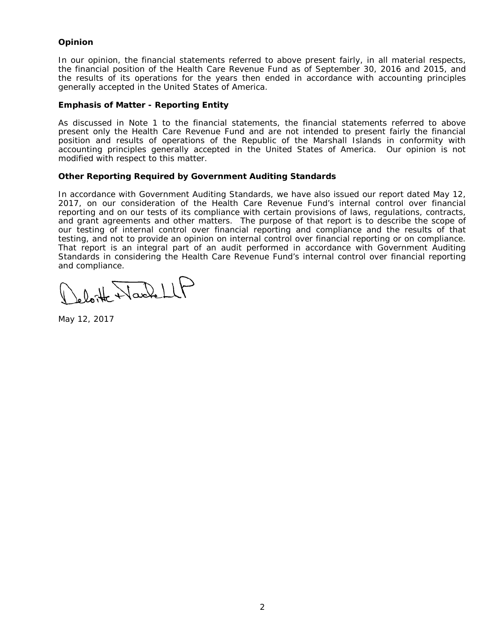# *Opinion*

In our opinion, the financial statements referred to above present fairly, in all material respects, the financial position of the Health Care Revenue Fund as of September 30, 2016 and 2015, and the results of its operations for the years then ended in accordance with accounting principles generally accepted in the United States of America.

#### *Emphasis of Matter - Reporting Entity*

As discussed in Note 1 to the financial statements, the financial statements referred to above present only the Health Care Revenue Fund and are not intended to present fairly the financial position and results of operations of the Republic of the Marshall Islands in conformity with accounting principles generally accepted in the United States of America. Our opinion is not modified with respect to this matter.

#### **Other Reporting Required by** *Government Auditing Standards*

In accordance with *Government Auditing Standards*, we have also issued our report dated May 12, 2017, on our consideration of the Health Care Revenue Fund's internal control over financial reporting and on our tests of its compliance with certain provisions of laws, regulations, contracts, and grant agreements and other matters. The purpose of that report is to describe the scope of our testing of internal control over financial reporting and compliance and the results of that testing, and not to provide an opinion on internal control over financial reporting or on compliance. That report is an integral part of an audit performed in accordance with *Government Auditing Standards* in considering the Health Care Revenue Fund's internal control over financial reporting and compliance.

loite Nachell

May 12, 2017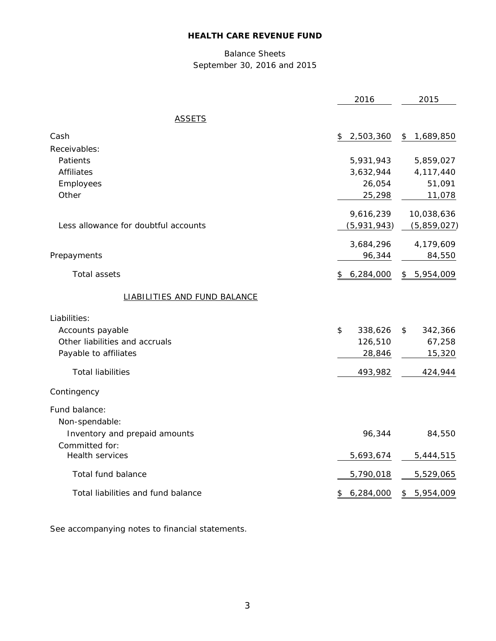# Balance Sheets September 30, 2016 and 2015

|                                      | 2016            | 2015            |
|--------------------------------------|-----------------|-----------------|
| <b>ASSETS</b>                        |                 |                 |
| Cash                                 | 2,503,360<br>\$ | \$<br>1,689,850 |
| Receivables:                         |                 |                 |
| Patients                             | 5,931,943       | 5,859,027       |
| <b>Affiliates</b>                    | 3,632,944       | 4,117,440       |
| Employees                            | 26,054          | 51,091          |
| Other                                | 25,298          | 11,078          |
|                                      | 9,616,239       | 10,038,636      |
| Less allowance for doubtful accounts | (5,931,943)     | (5,859,027)     |
|                                      | 3,684,296       | 4,179,609       |
| Prepayments                          | 96,344          | 84,550          |
| <b>Total assets</b>                  | 6,284,000<br>\$ | 5,954,009<br>\$ |
| <b>LIABILITIES AND FUND BALANCE</b>  |                 |                 |
| Liabilities:                         |                 |                 |
| Accounts payable                     | \$<br>338,626   | \$<br>342,366   |
| Other liabilities and accruals       | 126,510         | 67,258          |
| Payable to affiliates                | 28,846          | 15,320          |
| <b>Total liabilities</b>             | 493,982         | 424,944         |
| Contingency                          |                 |                 |
| Fund balance:                        |                 |                 |
| Non-spendable:                       |                 |                 |
| Inventory and prepaid amounts        | 96,344          | 84,550          |
| Committed for:                       |                 |                 |
| Health services                      | 5,693,674       | 5,444,515       |
| Total fund balance                   | 5,790,018       | 5,529,065       |
| Total liabilities and fund balance   | 6,284,000<br>\$ | 5,954,009<br>\$ |

See accompanying notes to financial statements.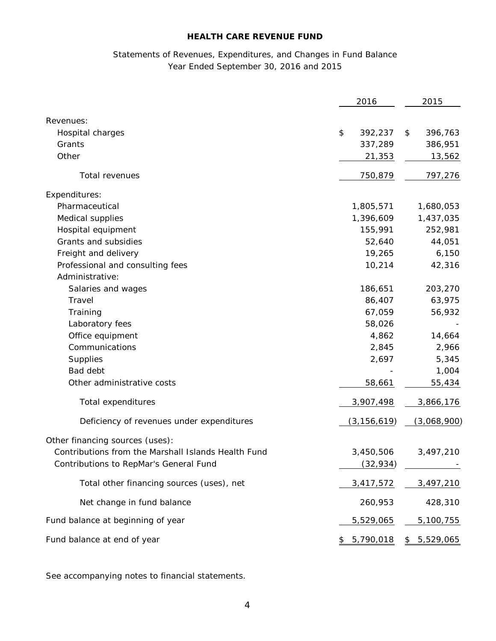# Statements of Revenues, Expenditures, and Changes in Fund Balance Year Ended September 30, 2016 and 2015

|                                                     | 2016            | 2015            |
|-----------------------------------------------------|-----------------|-----------------|
| Revenues:                                           |                 |                 |
| Hospital charges                                    | \$<br>392,237   | \$<br>396,763   |
| Grants                                              | 337,289         | 386,951         |
| Other                                               | 21,353          | 13,562          |
| Total revenues                                      | 750,879         | 797,276         |
| Expenditures:                                       |                 |                 |
| Pharmaceutical                                      | 1,805,571       | 1,680,053       |
| Medical supplies                                    | 1,396,609       | 1,437,035       |
| Hospital equipment                                  | 155,991         | 252,981         |
| Grants and subsidies                                | 52,640          | 44,051          |
| Freight and delivery                                | 19,265          | 6,150           |
| Professional and consulting fees                    | 10,214          | 42,316          |
| Administrative:                                     |                 |                 |
| Salaries and wages                                  | 186,651         | 203,270         |
| Travel                                              | 86,407          | 63,975          |
| Training                                            | 67,059          | 56,932          |
| Laboratory fees                                     | 58,026          |                 |
| Office equipment                                    | 4,862           | 14,664          |
| Communications                                      | 2,845           | 2,966           |
| Supplies                                            | 2,697           | 5,345           |
| Bad debt                                            |                 | 1,004           |
| Other administrative costs                          | 58,661          | 55,434          |
| <b>Total expenditures</b>                           | 3,907,498       | 3,866,176       |
| Deficiency of revenues under expenditures           | (3, 156, 619)   | (3,068,900)     |
| Other financing sources (uses):                     |                 |                 |
| Contributions from the Marshall Islands Health Fund | 3,450,506       | 3,497,210       |
| Contributions to RepMar's General Fund              | (32, 934)       |                 |
| Total other financing sources (uses), net           | 3,417,572       | 3,497,210       |
| Net change in fund balance                          | 260,953         | 428,310         |
| Fund balance at beginning of year                   | 5,529,065       | 5,100,755       |
| Fund balance at end of year                         | \$<br>5,790,018 | \$<br>5,529,065 |

See accompanying notes to financial statements.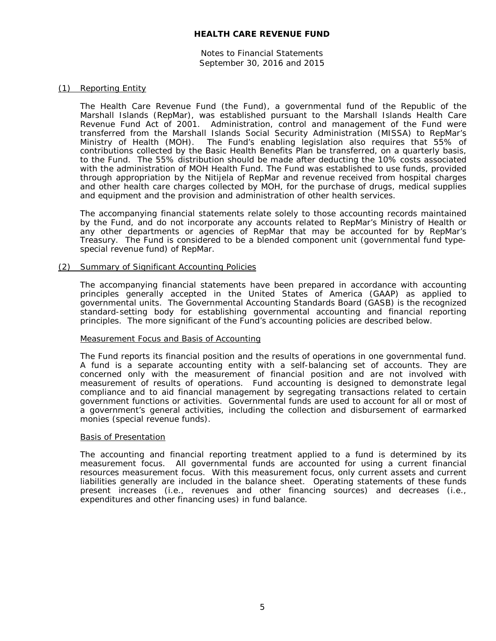Notes to Financial Statements September 30, 2016 and 2015

#### (1) Reporting Entity

The Health Care Revenue Fund (the Fund), a governmental fund of the Republic of the Marshall Islands (RepMar), was established pursuant to the Marshall Islands Health Care Revenue Fund Act of 2001. Administration, control and management of the Fund were transferred from the Marshall Islands Social Security Administration (MISSA) to RepMar's Ministry of Health (MOH). The Fund's enabling legislation also requires that 55% of contributions collected by the Basic Health Benefits Plan be transferred, on a quarterly basis, to the Fund. The 55% distribution should be made after deducting the 10% costs associated with the administration of MOH Health Fund. The Fund was established to use funds, provided through appropriation by the Nitijela of RepMar and revenue received from hospital charges and other health care charges collected by MOH, for the purchase of drugs, medical supplies and equipment and the provision and administration of other health services.

The accompanying financial statements relate solely to those accounting records maintained by the Fund, and do not incorporate any accounts related to RepMar's Ministry of Health or any other departments or agencies of RepMar that may be accounted for by RepMar's Treasury. The Fund is considered to be a blended component unit (governmental fund typespecial revenue fund) of RepMar.

#### (2) Summary of Significant Accounting Policies

The accompanying financial statements have been prepared in accordance with accounting principles generally accepted in the United States of America (GAAP) as applied to governmental units. The Governmental Accounting Standards Board (GASB) is the recognized standard-setting body for establishing governmental accounting and financial reporting principles. The more significant of the Fund's accounting policies are described below.

#### Measurement Focus and Basis of Accounting

The Fund reports its financial position and the results of operations in one governmental fund. A fund is a separate accounting entity with a self-balancing set of accounts. They are concerned only with the measurement of financial position and are not involved with measurement of results of operations. Fund accounting is designed to demonstrate legal compliance and to aid financial management by segregating transactions related to certain government functions or activities. Governmental funds are used to account for all or most of a government's general activities, including the collection and disbursement of earmarked monies (special revenue funds).

#### Basis of Presentation

The accounting and financial reporting treatment applied to a fund is determined by its measurement focus. All governmental funds are accounted for using a current financial resources measurement focus. With this measurement focus, only current assets and current liabilities generally are included in the balance sheet. Operating statements of these funds present increases (i.e., revenues and other financing sources) and decreases (i.e., expenditures and other financing uses) in fund balance.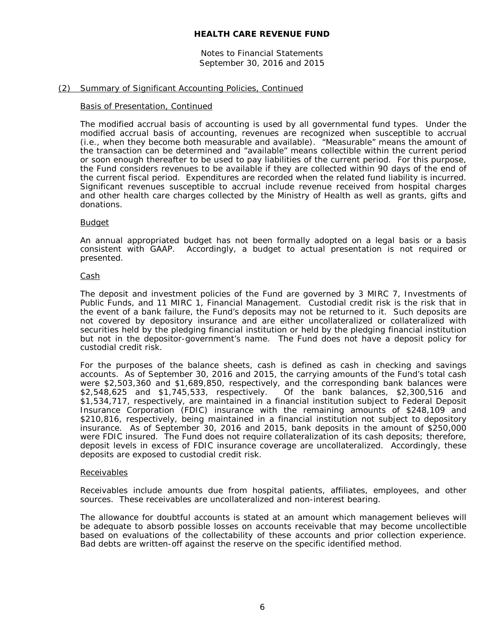Notes to Financial Statements September 30, 2016 and 2015

#### (2) Summary of Significant Accounting Policies, Continued

#### Basis of Presentation, Continued

The modified accrual basis of accounting is used by all governmental fund types. Under the modified accrual basis of accounting, revenues are recognized when susceptible to accrual (i.e., when they become both measurable and available). "Measurable" means the amount of the transaction can be determined and "available" means collectible within the current period or soon enough thereafter to be used to pay liabilities of the current period. For this purpose, the Fund considers revenues to be available if they are collected within 90 days of the end of the current fiscal period. Expenditures are recorded when the related fund liability is incurred. Significant revenues susceptible to accrual include revenue received from hospital charges and other health care charges collected by the Ministry of Health as well as grants, gifts and donations.

#### Budget

An annual appropriated budget has not been formally adopted on a legal basis or a basis consistent with GAAP. Accordingly, a budget to actual presentation is not required or presented.

#### Cash

The deposit and investment policies of the Fund are governed by 3 MIRC 7, *Investments of Public Funds*, and 11 MIRC 1, *Financial Management*. Custodial credit risk is the risk that in the event of a bank failure, the Fund's deposits may not be returned to it. Such deposits are not covered by depository insurance and are either uncollateralized or collateralized with securities held by the pledging financial institution or held by the pledging financial institution but not in the depositor-government's name. The Fund does not have a deposit policy for custodial credit risk.

For the purposes of the balance sheets, cash is defined as cash in checking and savings accounts. As of September 30, 2016 and 2015, the carrying amounts of the Fund's total cash were \$2,503,360 and \$1,689,850, respectively, and the corresponding bank balances were \$2,548,625 and \$1,745,533, respectively. Of the bank balances, \$2,300,516 and \$2,548,625 and \$1,745,533, respectively. \$1,534,717, respectively, are maintained in a financial institution subject to Federal Deposit Insurance Corporation (FDIC) insurance with the remaining amounts of \$248,109 and \$210,816, respectively, being maintained in a financial institution not subject to depository insurance. As of September 30, 2016 and 2015, bank deposits in the amount of \$250,000 were FDIC insured. The Fund does not require collateralization of its cash deposits; therefore, deposit levels in excess of FDIC insurance coverage are uncollateralized. Accordingly, these deposits are exposed to custodial credit risk.

#### Receivables

Receivables include amounts due from hospital patients, affiliates, employees, and other sources. These receivables are uncollateralized and non-interest bearing.

The allowance for doubtful accounts is stated at an amount which management believes will be adequate to absorb possible losses on accounts receivable that may become uncollectible based on evaluations of the collectability of these accounts and prior collection experience. Bad debts are written-off against the reserve on the specific identified method.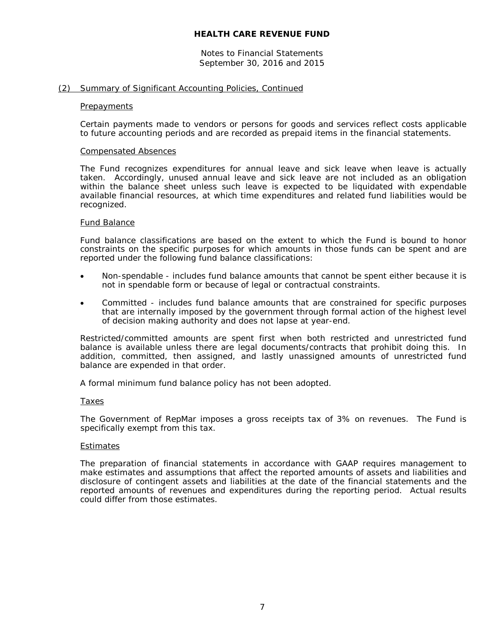Notes to Financial Statements September 30, 2016 and 2015

#### (2) Summary of Significant Accounting Policies, Continued

#### Prepayments

Certain payments made to vendors or persons for goods and services reflect costs applicable to future accounting periods and are recorded as prepaid items in the financial statements.

#### Compensated Absences

The Fund recognizes expenditures for annual leave and sick leave when leave is actually taken. Accordingly, unused annual leave and sick leave are not included as an obligation within the balance sheet unless such leave is expected to be liquidated with expendable available financial resources, at which time expenditures and related fund liabilities would be recognized.

#### Fund Balance

Fund balance classifications are based on the extent to which the Fund is bound to honor constraints on the specific purposes for which amounts in those funds can be spent and are reported under the following fund balance classifications:

- Non-spendable includes fund balance amounts that cannot be spent either because it is not in spendable form or because of legal or contractual constraints.
- Committed includes fund balance amounts that are constrained for specific purposes that are internally imposed by the government through formal action of the highest level of decision making authority and does not lapse at year-end.

Restricted/committed amounts are spent first when both restricted and unrestricted fund balance is available unless there are legal documents/contracts that prohibit doing this. In addition, committed, then assigned, and lastly unassigned amounts of unrestricted fund balance are expended in that order.

A formal minimum fund balance policy has not been adopted.

#### **Taxes**

The Government of RepMar imposes a gross receipts tax of 3% on revenues. The Fund is specifically exempt from this tax.

#### Estimates

The preparation of financial statements in accordance with GAAP requires management to make estimates and assumptions that affect the reported amounts of assets and liabilities and disclosure of contingent assets and liabilities at the date of the financial statements and the reported amounts of revenues and expenditures during the reporting period. Actual results could differ from those estimates.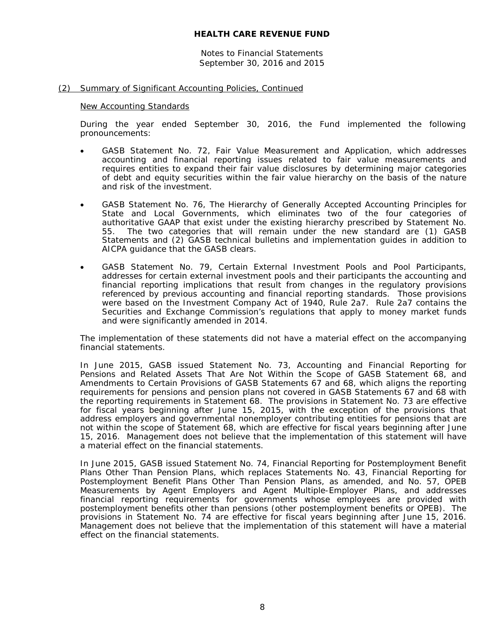Notes to Financial Statements September 30, 2016 and 2015

#### (2) Summary of Significant Accounting Policies, Continued

#### New Accounting Standards

During the year ended September 30, 2016, the Fund implemented the following pronouncements:

- GASB Statement No. 72, *Fair Value Measurement and Application,* which addresses accounting and financial reporting issues related to fair value measurements and requires entities to expand their fair value disclosures by determining major categories of debt and equity securities within the fair value hierarchy on the basis of the nature and risk of the investment.
- GASB Statement No. 76, *The Hierarchy of Generally Accepted Accounting Principles for State and Local Governments*, which eliminates two of the four categories of authoritative GAAP that exist under the existing hierarchy prescribed by Statement No. 55. The two categories that will remain under the new standard are (1) GASB Statements and (2) GASB technical bulletins and implementation guides in addition to AICPA guidance that the GASB clears.
- GASB Statement No. 79, *Certain External Investment Pools and Pool Participants*, addresses for certain external investment pools and their participants the accounting and financial reporting implications that result from changes in the regulatory provisions referenced by previous accounting and financial reporting standards. Those provisions were based on the Investment Company Act of 1940, Rule 2a7. Rule 2a7 contains the Securities and Exchange Commission's regulations that apply to money market funds and were significantly amended in 2014.

The implementation of these statements did not have a material effect on the accompanying financial statements.

In June 2015, GASB issued Statement No. 73, *Accounting and Financial Reporting for Pensions and Related Assets That Are Not Within the Scope of GASB Statement 68, and Amendments to Certain Provisions of GASB Statements 67 and 68*, which aligns the reporting requirements for pensions and pension plans not covered in GASB Statements 67 and 68 with the reporting requirements in Statement 68. The provisions in Statement No. 73 are effective for fiscal years beginning after June 15, 2015, with the exception of the provisions that address employers and governmental nonemployer contributing entities for pensions that are not within the scope of Statement 68, which are effective for fiscal years beginning after June 15, 2016. Management does not believe that the implementation of this statement will have a material effect on the financial statements.

In June 2015, GASB issued Statement No. 74, *Financial Reporting for Postemployment Benefit Plans Other Than Pension Plans*, which replaces Statements No. 43, *Financial Reporting for Postemployment Benefit Plans Other Than Pension Plans*, as amended, and No. 57, *OPEB Measurements by Agent Employers and Agent Multiple-Employer Plans*, and addresses financial reporting requirements for governments whose employees are provided with postemployment benefits other than pensions (other postemployment benefits or OPEB). The provisions in Statement No. 74 are effective for fiscal years beginning after June 15, 2016. Management does not believe that the implementation of this statement will have a material effect on the financial statements.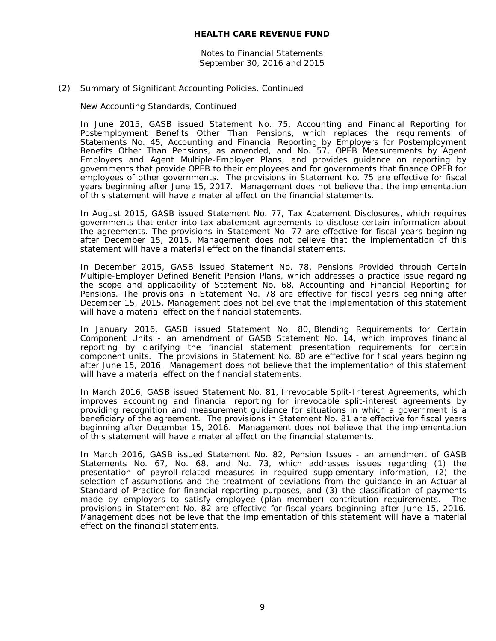Notes to Financial Statements September 30, 2016 and 2015

#### (2) Summary of Significant Accounting Policies, Continued

#### New Accounting Standards, Continued

In June 2015, GASB issued Statement No. 75, *Accounting and Financial Reporting for Postemployment Benefits Other Than Pensions*, which replaces the requirements of Statements No. 45, *Accounting and Financial Reporting by Employers for Postemployment Benefits Other Than Pensions*, as amended, and No. 57, *OPEB Measurements by Agent Employers and Agent Multiple-Employer Plans*, and provides guidance on reporting by governments that provide OPEB to their employees and for governments that finance OPEB for employees of other governments. The provisions in Statement No. 75 are effective for fiscal years beginning after June 15, 2017. Management does not believe that the implementation of this statement will have a material effect on the financial statements.

In August 2015, GASB issued Statement No. 77, *Tax Abatement Disclosures*, which requires governments that enter into tax abatement agreements to disclose certain information about the agreements. The provisions in Statement No. 77 are effective for fiscal years beginning after December 15, 2015. Management does not believe that the implementation of this statement will have a material effect on the financial statements.

In December 2015, GASB issued Statement No. 78, *Pensions Provided through Certain Multiple-Employer Defined Benefit Pension Plans,* which addresses a practice issue regarding the scope and applicability of Statement No. 68, *Accounting and Financial Reporting for Pensions*. The provisions in Statement No. 78 are effective for fiscal years beginning after December 15, 2015. Management does not believe that the implementation of this statement will have a material effect on the financial statements.

In January 2016, GASB issued Statement No. 80, *Blending Requirements for Certain Component Units - an amendment of GASB Statement No. 14,* which improves financial reporting by clarifying the financial statement presentation requirements for certain component units. The provisions in Statement No. 80 are effective for fiscal years beginning after June 15, 2016. Management does not believe that the implementation of this statement will have a material effect on the financial statements.

In March 2016, GASB issued Statement No. 81, *Irrevocable Split-Interest Agreements,* which improves accounting and financial reporting for irrevocable split-interest agreements by providing recognition and measurement guidance for situations in which a government is a beneficiary of the agreement. The provisions in Statement No. 81 are effective for fiscal years beginning after December 15, 2016. Management does not believe that the implementation of this statement will have a material effect on the financial statements.

In March 2016, GASB issued Statement No. 82, *Pension Issues - an amendment of GASB Statements No. 67, No. 68, and No. 73*, which addresses issues regarding (1) the presentation of payroll-related measures in required supplementary information, (2) the selection of assumptions and the treatment of deviations from the guidance in an Actuarial Standard of Practice for financial reporting purposes, and (3) the classification of payments made by employers to satisfy employee (plan member) contribution requirements. The provisions in Statement No. 82 are effective for fiscal years beginning after June 15, 2016. Management does not believe that the implementation of this statement will have a material effect on the financial statements.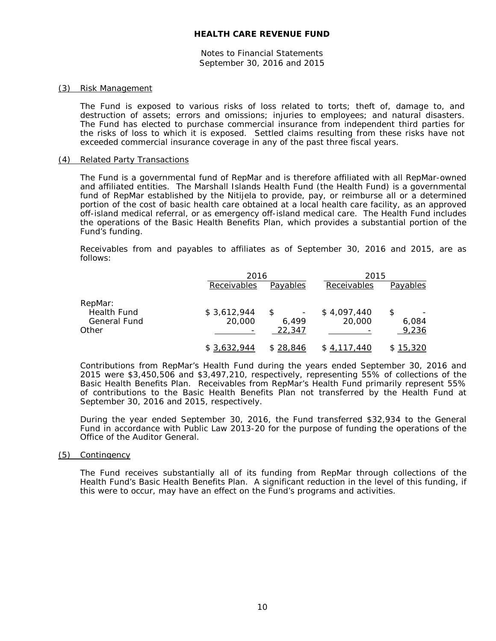Notes to Financial Statements September 30, 2016 and 2015

#### (3) Risk Management

The Fund is exposed to various risks of loss related to torts; theft of, damage to, and destruction of assets; errors and omissions; injuries to employees; and natural disasters. The Fund has elected to purchase commercial insurance from independent third parties for the risks of loss to which it is exposed. Settled claims resulting from these risks have not exceeded commercial insurance coverage in any of the past three fiscal years.

#### (4) Related Party Transactions

The Fund is a governmental fund of RepMar and is therefore affiliated with all RepMar-owned and affiliated entities. The Marshall Islands Health Fund (the Health Fund) is a governmental fund of RepMar established by the Nitijela to provide, pay, or reimburse all or a determined portion of the cost of basic health care obtained at a local health care facility, as an approved off-island medical referral, or as emergency off-island medical care. The Health Fund includes the operations of the Basic Health Benefits Plan, which provides a substantial portion of the Fund's funding.

Receivables from and payables to affiliates as of September 30, 2016 and 2015, are as follows:

|                     |             | 2016     |             | 2015     |  |
|---------------------|-------------|----------|-------------|----------|--|
|                     | Receivables | Payables | Receivables | Payables |  |
| RepMar:             |             |          |             |          |  |
| <b>Health Fund</b>  | \$3,612,944 | \$       | \$4,097,440 |          |  |
| <b>General Fund</b> | 20,000      | 6.499    | 20,000      | 6,084    |  |
| Other               |             | 22,347   |             | 9,236    |  |
|                     | \$3,632,944 | \$28,846 | 4,117,440   | \$15,320 |  |

Contributions from RepMar's Health Fund during the years ended September 30, 2016 and 2015 were \$3,450,506 and \$3,497,210, respectively, representing 55% of collections of the Basic Health Benefits Plan. Receivables from RepMar's Health Fund primarily represent 55% of contributions to the Basic Health Benefits Plan not transferred by the Health Fund at September 30, 2016 and 2015, respectively.

During the year ended September 30, 2016, the Fund transferred \$32,934 to the General Fund in accordance with Public Law 2013-20 for the purpose of funding the operations of the Office of the Auditor General.

#### (5) Contingency

The Fund receives substantially all of its funding from RepMar through collections of the Health Fund's Basic Health Benefits Plan. A significant reduction in the level of this funding, if this were to occur, may have an effect on the Fund's programs and activities.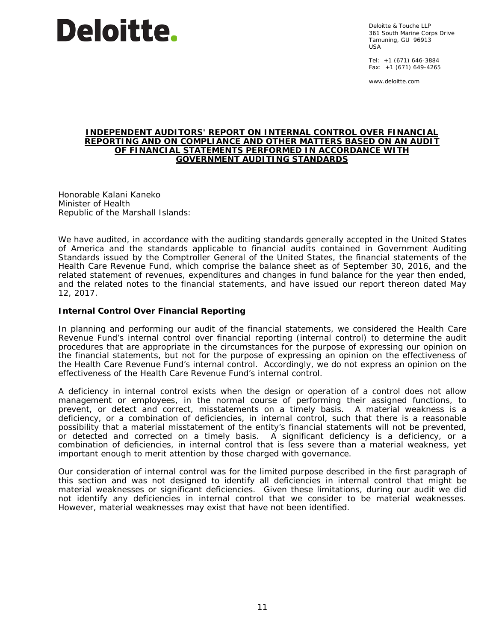

Deloitte & Touche LLP 361 South Marine Corps Drive Tamuning, GU 96913 USA

Tel: +1 (671) 646-3884 Fax: +1 (671) 649-4265

www.deloitte.com

#### **INDEPENDENT AUDITORS' REPORT ON INTERNAL CONTROL OVER FINANCIAL REPORTING AND ON COMPLIANCE AND OTHER MATTERS BASED ON AN AUDIT OF FINANCIAL STATEMENTS PERFORMED IN ACCORDANCE WITH** *GOVERNMENT AUDITING STANDARDS*

Honorable Kalani Kaneko Minister of Health Republic of the Marshall Islands:

We have audited, in accordance with the auditing standards generally accepted in the United States of America and the standards applicable to financial audits contained in *Government Auditing Standards* issued by the Comptroller General of the United States, the financial statements of the Health Care Revenue Fund, which comprise the balance sheet as of September 30, 2016, and the related statement of revenues, expenditures and changes in fund balance for the year then ended, and the related notes to the financial statements, and have issued our report thereon dated May 12, 2017.

#### **Internal Control Over Financial Reporting**

In planning and performing our audit of the financial statements, we considered the Health Care Revenue Fund's internal control over financial reporting (internal control) to determine the audit procedures that are appropriate in the circumstances for the purpose of expressing our opinion on the financial statements, but not for the purpose of expressing an opinion on the effectiveness of the Health Care Revenue Fund's internal control. Accordingly, we do not express an opinion on the effectiveness of the Health Care Revenue Fund's internal control.

A *deficiency in internal control* exists when the design or operation of a control does not allow management or employees, in the normal course of performing their assigned functions, to prevent, or detect and correct, misstatements on a timely basis. A *material weakness* is a deficiency, or a combination of deficiencies, in internal control, such that there is a reasonable possibility that a material misstatement of the entity's financial statements will not be prevented, or detected and corrected on a timely basis. A *significant deficiency* is a deficiency, or a combination of deficiencies, in internal control that is less severe than a material weakness, yet important enough to merit attention by those charged with governance.

Our consideration of internal control was for the limited purpose described in the first paragraph of this section and was not designed to identify all deficiencies in internal control that might be material weaknesses or significant deficiencies. Given these limitations, during our audit we did not identify any deficiencies in internal control that we consider to be material weaknesses. However, material weaknesses may exist that have not been identified.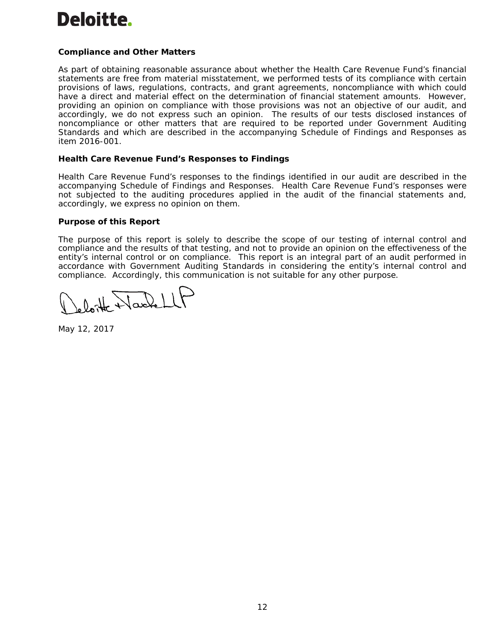# Deloitte.

#### **Compliance and Other Matters**

As part of obtaining reasonable assurance about whether the Health Care Revenue Fund's financial statements are free from material misstatement, we performed tests of its compliance with certain provisions of laws, regulations, contracts, and grant agreements, noncompliance with which could have a direct and material effect on the determination of financial statement amounts. However, providing an opinion on compliance with those provisions was not an objective of our audit, and accordingly, we do not express such an opinion. The results of our tests disclosed instances of noncompliance or other matters that are required to be reported under *Government Auditing Standards* and which are described in the accompanying Schedule of Findings and Responses as item 2016-001.

#### **Health Care Revenue Fund's Responses to Findings**

Health Care Revenue Fund's responses to the findings identified in our audit are described in the accompanying Schedule of Findings and Responses. Health Care Revenue Fund's responses were not subjected to the auditing procedures applied in the audit of the financial statements and, accordingly, we express no opinion on them.

#### **Purpose of this Report**

The purpose of this report is solely to describe the scope of our testing of internal control and compliance and the results of that testing, and not to provide an opinion on the effectiveness of the entity's internal control or on compliance. This report is an integral part of an audit performed in accordance with *Government Auditing Standards* in considering the entity's internal control and compliance. Accordingly, this communication is not suitable for any other purpose.

 $#$  Nackel

May 12, 2017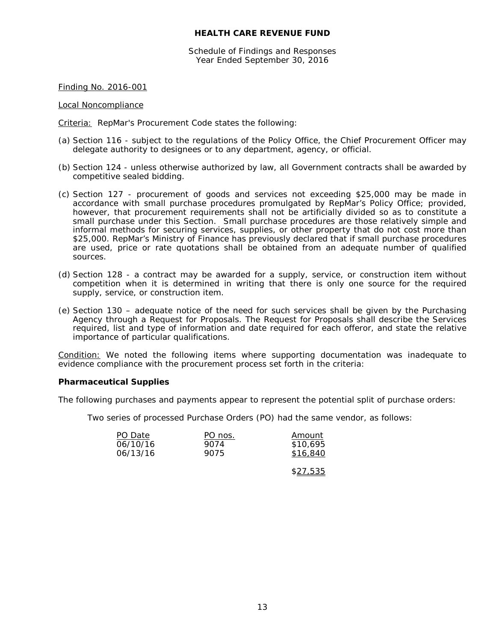Schedule of Findings and Responses Year Ended September 30, 2016

Finding No. 2016-001

Local Noncompliance

Criteria: RepMar's Procurement Code states the following:

- (a) Section 116 subject to the regulations of the Policy Office, the Chief Procurement Officer may delegate authority to designees or to any department, agency, or official.
- (b) Section 124 unless otherwise authorized by law, all Government contracts shall be awarded by competitive sealed bidding.
- (c) Section 127 procurement of goods and services not exceeding \$25,000 may be made in accordance with small purchase procedures promulgated by RepMar's Policy Office; provided, however, that procurement requirements shall not be artificially divided so as to constitute a small purchase under this Section. Small purchase procedures are those relatively simple and informal methods for securing services, supplies, or other property that do not cost more than \$25,000. RepMar's Ministry of Finance has previously declared that if small purchase procedures are used, price or rate quotations shall be obtained from an adequate number of qualified sources.
- (d) Section 128 a contract may be awarded for a supply, service, or construction item without competition when it is determined in writing that there is only one source for the required supply, service, or construction item.
- (e) Section 130 adequate notice of the need for such services shall be given by the Purchasing Agency through a Request for Proposals. The Request for Proposals shall describe the Services required, list and type of information and date required for each offeror, and state the relative importance of particular qualifications.

Condition: We noted the following items where supporting documentation was inadequate to evidence compliance with the procurement process set forth in the criteria:

#### **Pharmaceutical Supplies**

The following purchases and payments appear to represent the potential split of purchase orders:

Two series of processed Purchase Orders (PO) had the same vendor, as follows:

| PO Date  | PO nos. | Amount   |
|----------|---------|----------|
| 06/10/16 | 9074    | \$10,695 |
| 06/13/16 | 9075    | \$16,840 |

\$27,535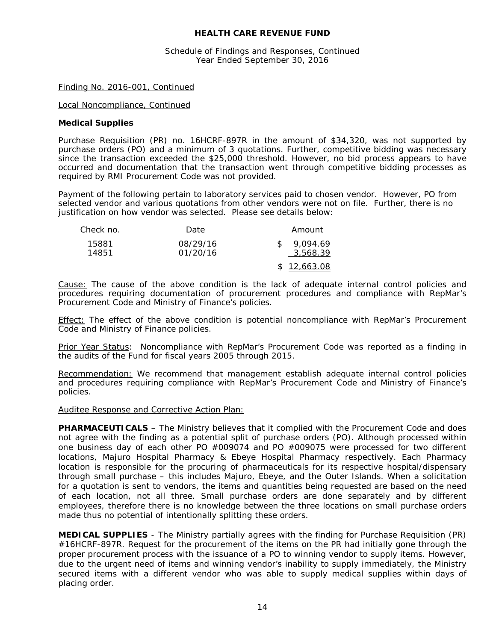Schedule of Findings and Responses, Continued Year Ended September 30, 2016

#### Finding No. 2016-001, Continued

#### Local Noncompliance, Continued

#### **Medical Supplies**

Purchase Requisition (PR) no. 16HCRF-897R in the amount of \$34,320, was not supported by purchase orders (PO) and a minimum of 3 quotations. Further, competitive bidding was necessary since the transaction exceeded the \$25,000 threshold. However, no bid process appears to have occurred and documentation that the transaction went through competitive bidding processes as required by RMI Procurement Code was not provided.

Payment of the following pertain to laboratory services paid to chosen vendor. However, PO from selected vendor and various quotations from other vendors were not on file. Further, there is no justification on how vendor was selected. Please see details below:

| Check no.      | Date                 | Amount               |
|----------------|----------------------|----------------------|
| 15881<br>14851 | 08/29/16<br>01/20/16 | 9.094.69<br>3,568.39 |
|                |                      | \$12,663.08          |

Cause: The cause of the above condition is the lack of adequate internal control policies and procedures requiring documentation of procurement procedures and compliance with RepMar's Procurement Code and Ministry of Finance's policies.

Effect: The effect of the above condition is potential noncompliance with RepMar's Procurement Code and Ministry of Finance policies.

Prior Year Status: Noncompliance with RepMar's Procurement Code was reported as a finding in the audits of the Fund for fiscal years 2005 through 2015.

Recommendation: We recommend that management establish adequate internal control policies and procedures requiring compliance with RepMar's Procurement Code and Ministry of Finance's policies.

#### Auditee Response and Corrective Action Plan:

**PHARMACEUTICALS** – The Ministry believes that it complied with the Procurement Code and does not agree with the finding as a potential split of purchase orders (PO). Although processed within one business day of each other PO #009074 and PO #009075 were processed for two different locations, Majuro Hospital Pharmacy & Ebeye Hospital Pharmacy respectively. Each Pharmacy location is responsible for the procuring of pharmaceuticals for its respective hospital/dispensary through small purchase – this includes Majuro, Ebeye, and the Outer Islands. When a solicitation for a quotation is sent to vendors, the items and quantities being requested are based on the need of each location, not all three. Small purchase orders are done separately and by different employees, therefore there is no knowledge between the three locations on small purchase orders made thus no potential of intentionally splitting these orders.

**MEDICAL SUPPLIES** - The Ministry partially agrees with the finding for Purchase Requisition (PR) #16HCRF-897R. Request for the procurement of the items on the PR had initially gone through the proper procurement process with the issuance of a PO to winning vendor to supply items. However, due to the urgent need of items and winning vendor's inability to supply immediately, the Ministry secured items with a different vendor who was able to supply medical supplies within days of placing order.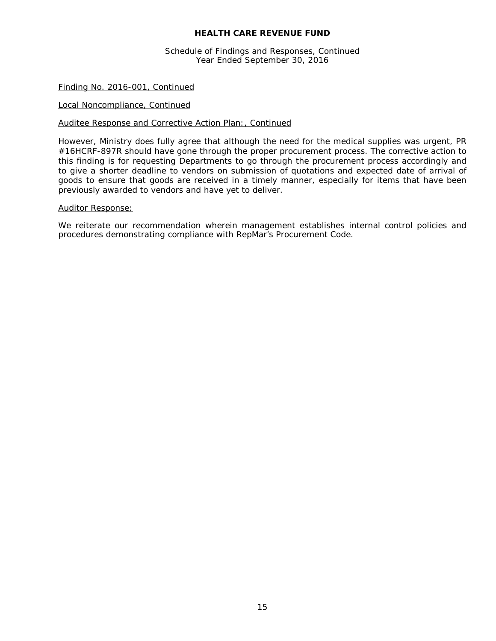#### Schedule of Findings and Responses, Continued Year Ended September 30, 2016

#### Finding No. 2016-001, Continued

#### Local Noncompliance, Continued

#### Auditee Response and Corrective Action Plan:, Continued

However, Ministry does fully agree that although the need for the medical supplies was urgent, PR #16HCRF-897R should have gone through the proper procurement process. The corrective action to this finding is for requesting Departments to go through the procurement process accordingly and to give a shorter deadline to vendors on submission of quotations and expected date of arrival of goods to ensure that goods are received in a timely manner, especially for items that have been previously awarded to vendors and have yet to deliver.

#### Auditor Response:

We reiterate our recommendation wherein management establishes internal control policies and procedures demonstrating compliance with RepMar's Procurement Code.